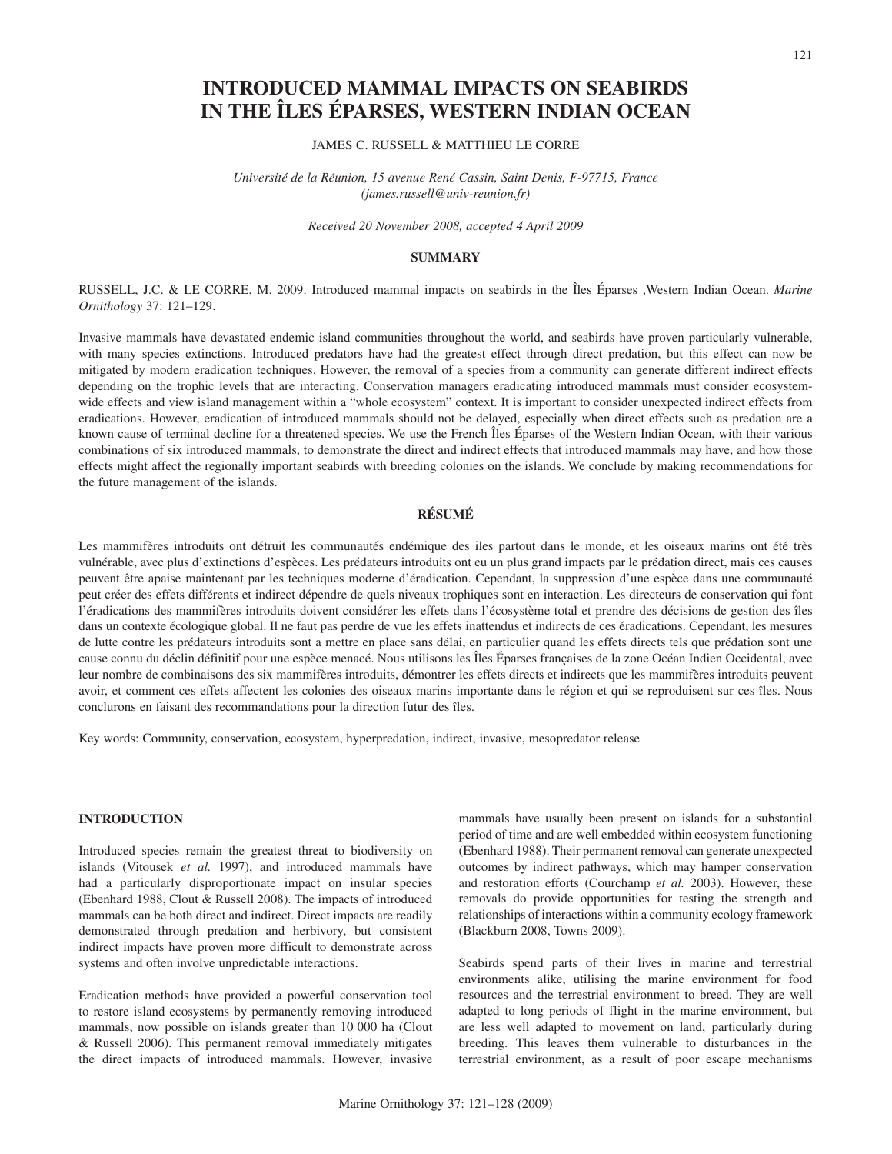# **INTRODUCED MAMMAL IMPACTS ON SEABIRDS IN THE ÎLES ÉPARSES, WESTERN INDIAN OCEAN**

## JAMES C. RUSSELL & MATTHIEU LE CORRE

*Université de la Réunion, 15 avenue René Cassin, Saint Denis, F-97715, France (james.russell@univ-reunion.fr)*

*Received 20 November 2008, accepted 4 April 2009*

### **SUMMARY**

RUSSELL, J.C. & LE CORRE, M. 2009. Introduced mammal impacts on seabirds in the Îles Éparses ,Western Indian Ocean. *Marine Ornithology* 37: 121–129.

Invasive mammals have devastated endemic island communities throughout the world, and seabirds have proven particularly vulnerable, with many species extinctions. Introduced predators have had the greatest effect through direct predation, but this effect can now be mitigated by modern eradication techniques. However, the removal of a species from a community can generate different indirect effects depending on the trophic levels that are interacting. Conservation managers eradicating introduced mammals must consider ecosystemwide effects and view island management within a "whole ecosystem" context. It is important to consider unexpected indirect effects from eradications. However, eradication of introduced mammals should not be delayed, especially when direct effects such as predation are a known cause of terminal decline for a threatened species. We use the French Îles Éparses of the Western Indian Ocean, with their various combinations of six introduced mammals, to demonstrate the direct and indirect effects that introduced mammals may have, and how those effects might affect the regionally important seabirds with breeding colonies on the islands. We conclude by making recommendations for the future management of the islands.

# **RÉSUMÉ**

Les mammifères introduits ont détruit les communautés endémique des iles partout dans le monde, et les oiseaux marins ont été très vulnérable, avec plus d'extinctions d'espèces. Les prédateurs introduits ont eu un plus grand impacts par le prédation direct, mais ces causes peuvent être apaise maintenant par les techniques moderne d'éradication. Cependant, la suppression d'une espèce dans une communauté peut créer des effets différents et indirect dépendre de quels niveaux trophiques sont en interaction. Les directeurs de conservation qui font l'éradications des mammifères introduits doivent considérer les effets dans l'écosystème total et prendre des décisions de gestion des îles dans un contexte écologique global. Il ne faut pas perdre de vue les effets inattendus et indirects de ces éradications. Cependant, les mesures de lutte contre les prédateurs introduits sont a mettre en place sans délai, en particulier quand les effets directs tels que prédation sont une cause connu du déclin définitif pour une espèce menacé. Nous utilisons les Îles Éparses françaises de la zone Océan Indien Occidental, avec leur nombre de combinaisons des six mammifères introduits, démontrer les effets directs et indirects que les mammifères introduits peuvent avoir, et comment ces effets affectent les colonies des oiseaux marins importante dans le région et qui se reproduisent sur ces îles. Nous conclurons en faisant des recommandations pour la direction futur des îles.

Key words: Community, conservation, ecosystem, hyperpredation, indirect, invasive, mesopredator release

# **INTRODUCTION**

Introduced species remain the greatest threat to biodiversity on islands (Vitousek *et al.* 1997), and introduced mammals have had a particularly disproportionate impact on insular species (Ebenhard 1988, Clout & Russell 2008). The impacts of introduced mammals can be both direct and indirect. Direct impacts are readily demonstrated through predation and herbivory, but consistent indirect impacts have proven more difficult to demonstrate across systems and often involve unpredictable interactions.

Eradication methods have provided a powerful conservation tool to restore island ecosystems by permanently removing introduced mammals, now possible on islands greater than 10 000 ha (Clout & Russell 2006). This permanent removal immediately mitigates the direct impacts of introduced mammals. However, invasive mammals have usually been present on islands for a substantial period of time and are well embedded within ecosystem functioning (Ebenhard 1988). Their permanent removal can generate unexpected outcomes by indirect pathways, which may hamper conservation and restoration efforts (Courchamp *et al.* 2003). However, these removals do provide opportunities for testing the strength and relationships of interactions within a community ecology framework (Blackburn 2008, Towns 2009).

Seabirds spend parts of their lives in marine and terrestrial environments alike, utilising the marine environment for food resources and the terrestrial environment to breed. They are well adapted to long periods of flight in the marine environment, but are less well adapted to movement on land, particularly during breeding. This leaves them vulnerable to disturbances in the terrestrial environment, as a result of poor escape mechanisms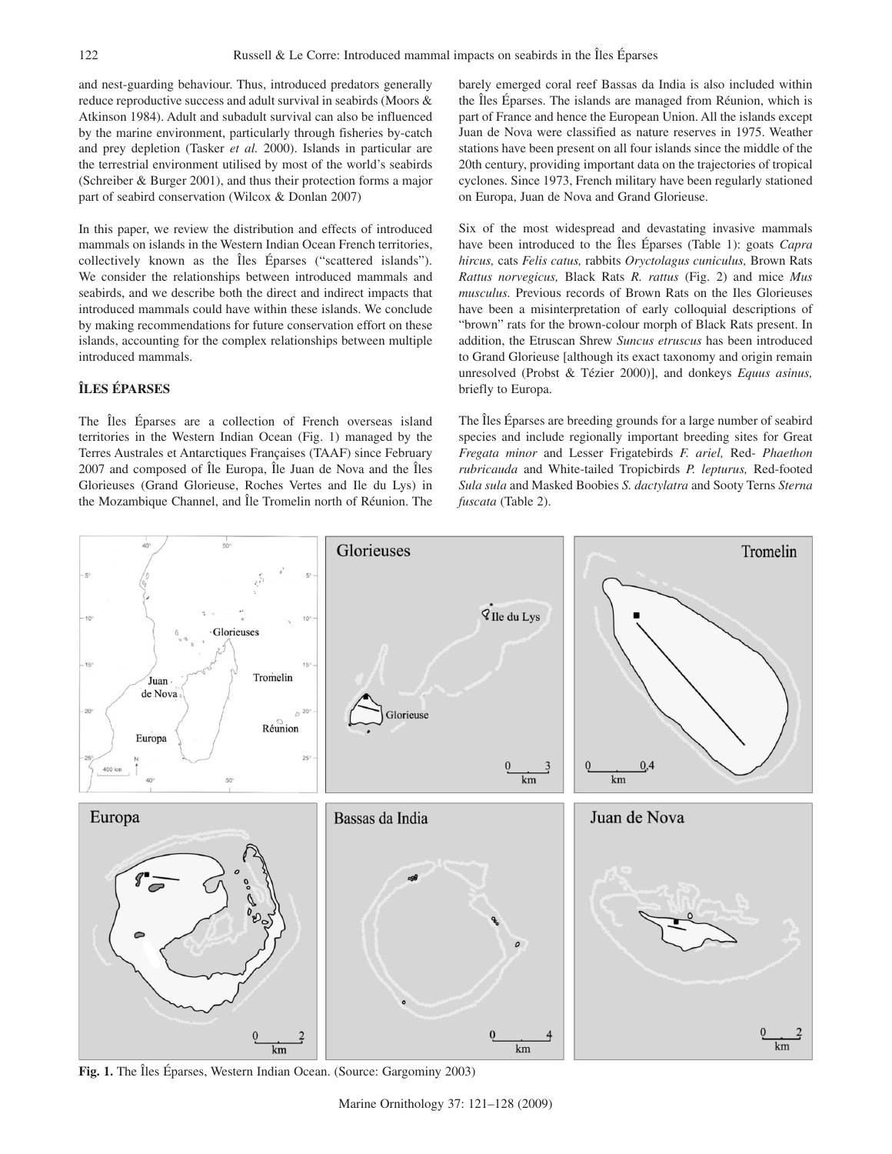and nest-guarding behaviour. Thus, introduced predators generally reduce reproductive success and adult survival in seabirds (Moors & Atkinson 1984). Adult and subadult survival can also be influenced by the marine environment, particularly through fisheries by-catch and prey depletion (Tasker *et al.* 2000). Islands in particular are the terrestrial environment utilised by most of the world's seabirds (Schreiber & Burger 2001), and thus their protection forms a major part of seabird conservation (Wilcox & Donlan 2007)

In this paper, we review the distribution and effects of introduced mammals on islands in the Western Indian Ocean French territories, collectively known as the Îles Éparses ("scattered islands"). We consider the relationships between introduced mammals and seabirds, and we describe both the direct and indirect impacts that introduced mammals could have within these islands. We conclude by making recommendations for future conservation effort on these islands, accounting for the complex relationships between multiple introduced mammals.

# **ÎLES ÉPARSES**

The Îles Éparses are a collection of French overseas island territories in the Western Indian Ocean (Fig. 1) managed by the Terres Australes et Antarctiques Françaises (TAAF) since February 2007 and composed of Île Europa, Île Juan de Nova and the Îles Glorieuses (Grand Glorieuse, Roches Vertes and Ile du Lys) in the Mozambique Channel, and Île Tromelin north of Réunion. The barely emerged coral reef Bassas da India is also included within the Îles Éparses. The islands are managed from Réunion, which is part of France and hence the European Union. All the islands except Juan de Nova were classified as nature reserves in 1975. Weather stations have been present on all four islands since the middle of the 20th century, providing important data on the trajectories of tropical cyclones. Since 1973, French military have been regularly stationed on Europa, Juan de Nova and Grand Glorieuse.

Six of the most widespread and devastating invasive mammals have been introduced to the Îles Éparses (Table 1): goats *Capra hircus,* cats *Felis catus,* rabbits *Oryctolagus cuniculus,* Brown Rats *Rattus norvegicus,* Black Rats *R. rattus* (Fig. 2) and mice *Mus musculus.* Previous records of Brown Rats on the Iles Glorieuses have been a misinterpretation of early colloquial descriptions of "brown" rats for the brown-colour morph of Black Rats present. In addition, the Etruscan Shrew *Suncus etruscus* has been introduced to Grand Glorieuse [although its exact taxonomy and origin remain unresolved (Probst & Tézier 2000)], and donkeys *Equus asinus,* briefly to Europa.

The Îles Éparses are breeding grounds for a large number of seabird species and include regionally important breeding sites for Great *Fregata minor* and Lesser Frigatebirds *F. ariel,* Red- *Phaethon rubricauda* and White-tailed Tropicbirds *P. lepturus,* Red-footed *Sula sula* and Masked Boobies *S. dactylatra* and Sooty Terns *Sterna fuscata* (Table 2).



**Fig. 1.** The Îles Éparses, Western Indian Ocean. (Source: Gargominy 2003)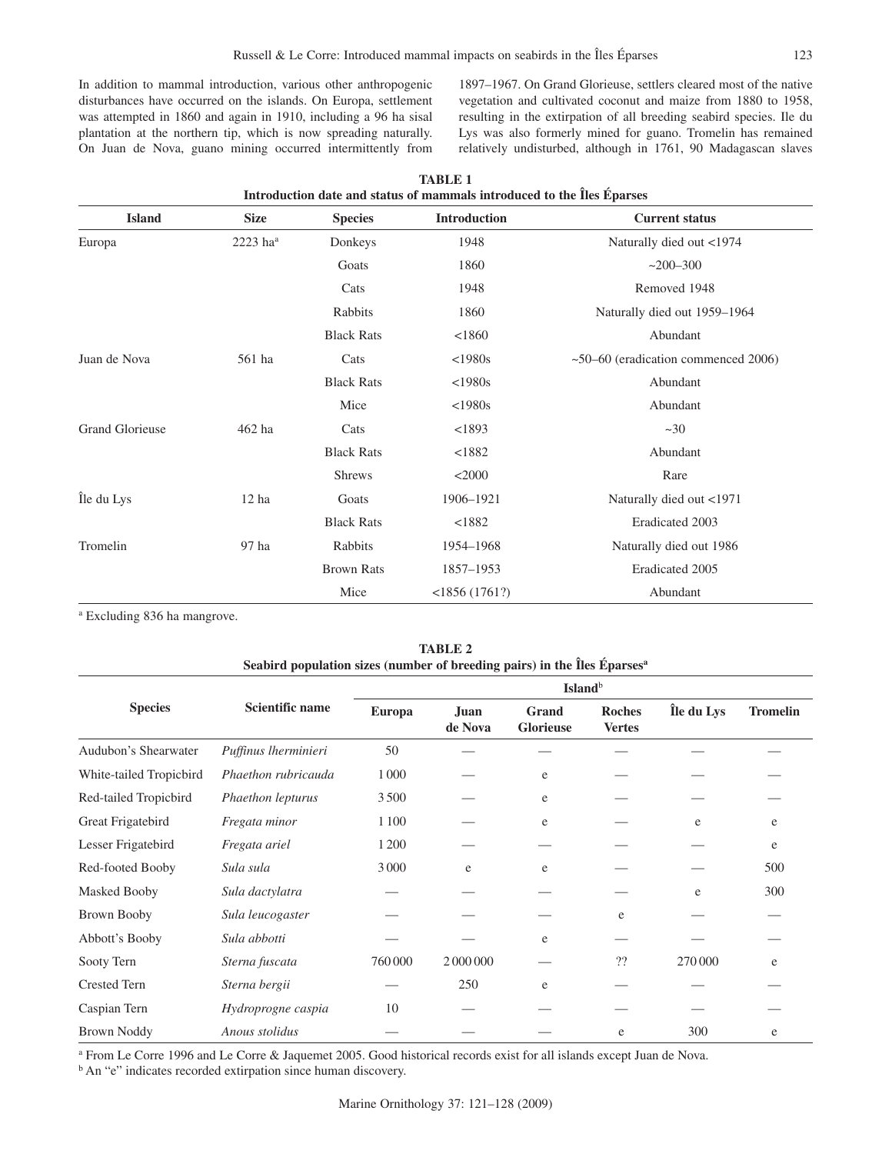In addition to mammal introduction, various other anthropogenic disturbances have occurred on the islands. On Europa, settlement was attempted in 1860 and again in 1910, including a 96 ha sisal plantation at the northern tip, which is now spreading naturally. On Juan de Nova, guano mining occurred intermittently from

1897–1967. On Grand Glorieuse, settlers cleared most of the native vegetation and cultivated coconut and maize from 1880 to 1958, resulting in the extirpation of all breeding seabird species. Ile du Lys was also formerly mined for guano. Tromelin has remained relatively undisturbed, although in 1761, 90 Madagascan slaves

| <b>Island</b>          | <b>Size</b>            | <b>Species</b>    | Introduction     | <b>Current status</b>                     |
|------------------------|------------------------|-------------------|------------------|-------------------------------------------|
| Europa                 | $2223$ ha <sup>a</sup> | Donkeys           | 1948             | Naturally died out <1974                  |
|                        |                        | Goats             | 1860             | $~200 - 300$                              |
|                        |                        | Cats              | 1948             | Removed 1948                              |
|                        |                        | Rabbits           | 1860             | Naturally died out 1959-1964              |
|                        |                        | <b>Black Rats</b> | < 1860           | Abundant                                  |
| Juan de Nova           | 561 ha                 | Cats              | $<$ 1980s        | $\sim$ 50–60 (eradication commenced 2006) |
|                        |                        | <b>Black Rats</b> | $<$ 1980s        | Abundant                                  |
|                        |                        | Mice              | $<$ 1980s        | Abundant                                  |
| <b>Grand Glorieuse</b> | 462 ha                 | Cats              | < 1893           | ~20                                       |
|                        |                        | <b>Black Rats</b> | < 1882           | Abundant                                  |
|                        |                        | <b>Shrews</b>     | $<$ 2000         | Rare                                      |
| Île du Lys             | 12 <sub>ha</sub>       | Goats             | 1906-1921        | Naturally died out <1971                  |
|                        |                        | <b>Black Rats</b> | < 1882           | Eradicated 2003                           |
| Tromelin               | 97 ha                  | Rabbits           | 1954-1968        | Naturally died out 1986                   |
|                        |                        | <b>Brown Rats</b> | 1857-1953        | Eradicated 2005                           |
|                        |                        | Mice              | $<$ 1856 (1761?) | Abundant                                  |

| <b>TABLE 1</b>                                                         |  |
|------------------------------------------------------------------------|--|
| Introduction date and status of mammals introduced to the Îles Éparses |  |

<sup>a</sup> Excluding 836 ha mangrove.

| IABLE 2<br>Seabird population sizes (number of breeding pairs) in the Îles Éparses <sup>a</sup> |                      |                            |                 |                           |                                |            |                 |
|-------------------------------------------------------------------------------------------------|----------------------|----------------------------|-----------------|---------------------------|--------------------------------|------------|-----------------|
|                                                                                                 |                      | <b>Island</b> <sup>b</sup> |                 |                           |                                |            |                 |
| <b>Species</b>                                                                                  | Scientific name      | <b>Europa</b>              | Juan<br>de Nova | Grand<br><b>Glorieuse</b> | <b>Roches</b><br><b>Vertes</b> | Île du Lys | <b>Tromelin</b> |
| Audubon's Shearwater                                                                            | Puffinus lherminieri | 50                         |                 |                           |                                |            |                 |
| White-tailed Tropicbird                                                                         | Phaethon rubricauda  | 1000                       |                 | e                         |                                |            |                 |
| Red-tailed Tropicbird                                                                           | Phaethon lepturus    | 3500                       |                 | e                         |                                |            |                 |
| Great Frigatebird                                                                               | Fregata minor        | 1 1 0 0                    |                 | e                         |                                | e          | e               |
| Lesser Frigatebird                                                                              | Fregata ariel        | 1 200                      |                 |                           |                                |            | e               |
| Red-footed Booby                                                                                | Sula sula            | 3000                       | e               | e                         |                                |            | 500             |
| Masked Booby                                                                                    | Sula dactylatra      |                            |                 |                           |                                | e          | 300             |
| Brown Booby                                                                                     | Sula leucogaster     |                            |                 |                           | e                              |            |                 |
| Abbott's Booby                                                                                  | Sula abbotti         |                            |                 | e                         |                                |            |                 |
| Sooty Tern                                                                                      | Sterna fuscata       | 760000                     | 2 000 000       |                           | ??                             | 270 000    | e               |
| <b>Crested Tern</b>                                                                             | Sterna bergii        |                            | 250             | e                         |                                |            |                 |
| Caspian Tern                                                                                    | Hydroprogne caspia   | 10                         |                 |                           |                                |            |                 |
| <b>Brown Noddy</b>                                                                              | Anous stolidus       |                            |                 |                           | e                              | 300        | e               |

 $T$ **TABLE** 

<sup>a</sup> From Le Corre 1996 and Le Corre & Jaquemet 2005. Good historical records exist for all islands except Juan de Nova.

<sup>b</sup> An "e" indicates recorded extirpation since human discovery.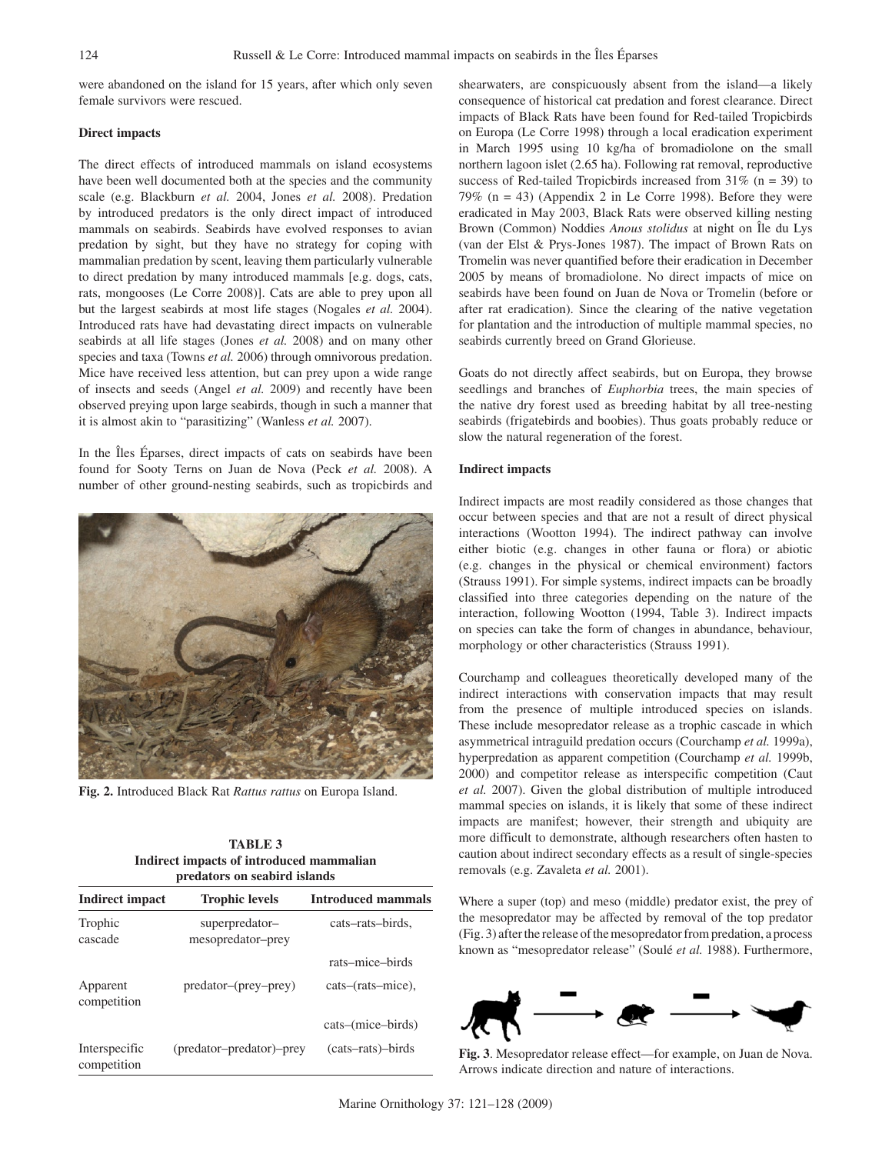were abandoned on the island for 15 years, after which only seven female survivors were rescued.

#### **Direct impacts**

The direct effects of introduced mammals on island ecosystems have been well documented both at the species and the community scale (e.g. Blackburn *et al.* 2004, Jones *et al.* 2008). Predation by introduced predators is the only direct impact of introduced mammals on seabirds. Seabirds have evolved responses to avian predation by sight, but they have no strategy for coping with mammalian predation by scent, leaving them particularly vulnerable to direct predation by many introduced mammals [e.g. dogs, cats, rats, mongooses (Le Corre 2008)]. Cats are able to prey upon all but the largest seabirds at most life stages (Nogales *et al.* 2004). Introduced rats have had devastating direct impacts on vulnerable seabirds at all life stages (Jones *et al.* 2008) and on many other species and taxa (Towns *et al.* 2006) through omnivorous predation. Mice have received less attention, but can prey upon a wide range of insects and seeds (Angel *et al.* 2009) and recently have been observed preying upon large seabirds, though in such a manner that it is almost akin to "parasitizing" (Wanless *et al.* 2007).

In the Îles Éparses, direct impacts of cats on seabirds have been found for Sooty Terns on Juan de Nova (Peck *et al.* 2008). A number of other ground-nesting seabirds, such as tropicbirds and



**Fig. 2.** Introduced Black Rat *Rattus rattus* on Europa Island.

| <b>TABLE 3</b>                           |
|------------------------------------------|
| Indirect impacts of introduced mammalian |
| predators on seabird islands             |

| <b>Indirect impact</b>       | <b>Trophic levels</b>               | <b>Introduced mammals</b>              |
|------------------------------|-------------------------------------|----------------------------------------|
| Trophic<br>cascade           | superpredator-<br>mesopredator-prey | cats-rats-birds,                       |
| Apparent<br>competition      | predator-(prey-prey)                | rats-mice-birds<br>cats–(rats–mice),   |
| Interspecific<br>competition | (predator-predator)-prey            | cats–(mice–birds)<br>(cats-rats)-birds |

shearwaters, are conspicuously absent from the island—a likely consequence of historical cat predation and forest clearance. Direct impacts of Black Rats have been found for Red-tailed Tropicbirds on Europa (Le Corre 1998) through a local eradication experiment in March 1995 using 10 kg/ha of bromadiolone on the small northern lagoon islet (2.65 ha). Following rat removal, reproductive success of Red-tailed Tropic birds increased from  $31\%$  (n = 39) to 79% ( $n = 43$ ) (Appendix 2 in Le Corre 1998). Before they were eradicated in May 2003, Black Rats were observed killing nesting Brown (Common) Noddies *Anous stolidus* at night on Île du Lys (van der Elst & Prys-Jones 1987). The impact of Brown Rats on Tromelin was never quantified before their eradication in December 2005 by means of bromadiolone. No direct impacts of mice on seabirds have been found on Juan de Nova or Tromelin (before or after rat eradication). Since the clearing of the native vegetation for plantation and the introduction of multiple mammal species, no seabirds currently breed on Grand Glorieuse.

Goats do not directly affect seabirds, but on Europa, they browse seedlings and branches of *Euphorbia* trees, the main species of the native dry forest used as breeding habitat by all tree-nesting seabirds (frigatebirds and boobies). Thus goats probably reduce or slow the natural regeneration of the forest.

#### **Indirect impacts**

Indirect impacts are most readily considered as those changes that occur between species and that are not a result of direct physical interactions (Wootton 1994). The indirect pathway can involve either biotic (e.g. changes in other fauna or flora) or abiotic (e.g. changes in the physical or chemical environment) factors (Strauss 1991). For simple systems, indirect impacts can be broadly classified into three categories depending on the nature of the interaction, following Wootton (1994, Table 3). Indirect impacts on species can take the form of changes in abundance, behaviour, morphology or other characteristics (Strauss 1991).

Courchamp and colleagues theoretically developed many of the indirect interactions with conservation impacts that may result from the presence of multiple introduced species on islands. These include mesopredator release as a trophic cascade in which asymmetrical intraguild predation occurs (Courchamp *et al.* 1999a), hyperpredation as apparent competition (Courchamp *et al.* 1999b, 2000) and competitor release as interspecific competition (Caut *et al.* 2007). Given the global distribution of multiple introduced mammal species on islands, it is likely that some of these indirect impacts are manifest; however, their strength and ubiquity are more difficult to demonstrate, although researchers often hasten to caution about indirect secondary effects as a result of single-species removals (e.g. Zavaleta *et al.* 2001).

Where a super (top) and meso (middle) predator exist, the prey of the mesopredator may be affected by removal of the top predator (Fig. 3) after the release of the mesopredator from predation, a process known as "mesopredator release" (Soulé *et al.* 1988). Furthermore,



**Fig. 3**. Mesopredator release effect—for example, on Juan de Nova. Arrows indicate direction and nature of interactions.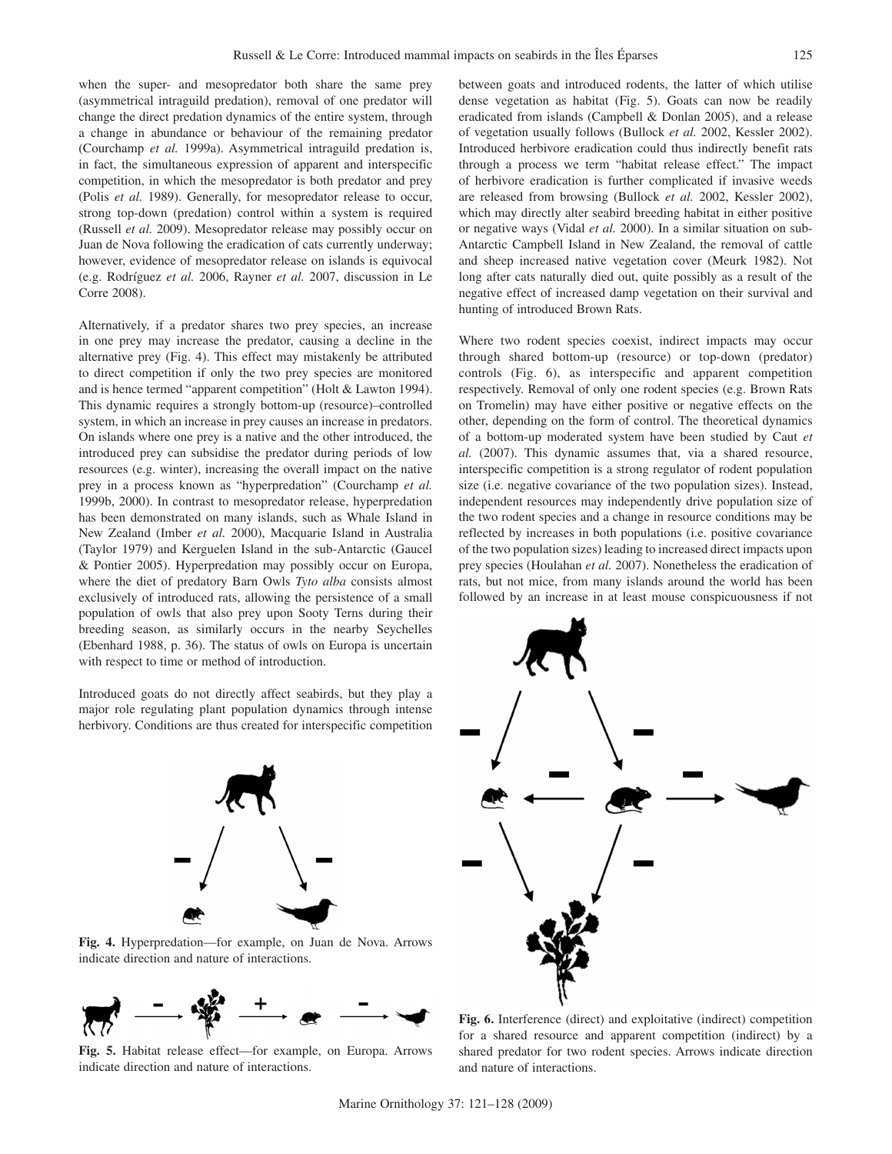when the super- and mesopredator both share the same prey (asymmetrical intraguild predation), removal of one predator will change the direct predation dynamics of the entire system, through a change in abundance or behaviour of the remaining predator (Courchamp *et al.* 1999a). Asymmetrical intraguild predation is, in fact, the simultaneous expression of apparent and interspecific competition, in which the mesopredator is both predator and prey (Polis *et al.* 1989). Generally, for mesopredator release to occur, strong top-down (predation) control within a system is required (Russell *et al.* 2009). Mesopredator release may possibly occur on Juan de Nova following the eradication of cats currently underway; however, evidence of mesopredator release on islands is equivocal (e.g. Rodríguez *et al.* 2006, Rayner *et al.* 2007, discussion in Le Corre 2008).

Alternatively, if a predator shares two prey species, an increase in one prey may increase the predator, causing a decline in the alternative prey (Fig. 4). This effect may mistakenly be attributed to direct competition if only the two prey species are monitored and is hence termed "apparent competition" (Holt & Lawton 1994). This dynamic requires a strongly bottom-up (resource)–controlled system, in which an increase in prey causes an increase in predators. On islands where one prey is a native and the other introduced, the introduced prey can subsidise the predator during periods of low resources (e.g. winter), increasing the overall impact on the native prey in a process known as "hyperpredation" (Courchamp *et al.* 1999b, 2000). In contrast to mesopredator release, hyperpredation has been demonstrated on many islands, such as Whale Island in New Zealand (Imber *et al.* 2000), Macquarie Island in Australia (Taylor 1979) and Kerguelen Island in the sub-Antarctic (Gaucel & Pontier 2005). Hyperpredation may possibly occur on Europa, where the diet of predatory Barn Owls *Tyto alba* consists almost exclusively of introduced rats, allowing the persistence of a small population of owls that also prey upon Sooty Terns during their breeding season, as similarly occurs in the nearby Seychelles (Ebenhard 1988, p. 36). The status of owls on Europa is uncertain with respect to time or method of introduction.

Introduced goats do not directly affect seabirds, but they play a major role regulating plant population dynamics through intense herbivory. Conditions are thus created for interspecific competition



**Fig. 4.** Hyperpredation—for example, on Juan de Nova. Arrows indicate direction and nature of interactions.



**Fig. 5.** Habitat release effect—for example, on Europa. Arrows indicate direction and nature of interactions.

between goats and introduced rodents, the latter of which utilise dense vegetation as habitat (Fig. 5). Goats can now be readily eradicated from islands (Campbell & Donlan 2005), and a release of vegetation usually follows (Bullock *et al.* 2002, Kessler 2002). Introduced herbivore eradication could thus indirectly benefit rats through a process we term "habitat release effect." The impact of herbivore eradication is further complicated if invasive weeds are released from browsing (Bullock *et al.* 2002, Kessler 2002), which may directly alter seabird breeding habitat in either positive or negative ways (Vidal *et al.* 2000). In a similar situation on sub-Antarctic Campbell Island in New Zealand, the removal of cattle and sheep increased native vegetation cover (Meurk 1982). Not long after cats naturally died out, quite possibly as a result of the negative effect of increased damp vegetation on their survival and hunting of introduced Brown Rats.

Where two rodent species coexist, indirect impacts may occur through shared bottom-up (resource) or top-down (predator) controls (Fig. 6), as interspecific and apparent competition respectively. Removal of only one rodent species (e.g. Brown Rats on Tromelin) may have either positive or negative effects on the other, depending on the form of control. The theoretical dynamics of a bottom-up moderated system have been studied by Caut *et al.* (2007). This dynamic assumes that, via a shared resource, interspecific competition is a strong regulator of rodent population size (i.e. negative covariance of the two population sizes). Instead, independent resources may independently drive population size of the two rodent species and a change in resource conditions may be reflected by increases in both populations (i.e. positive covariance of the two population sizes) leading to increased direct impacts upon prey species (Houlahan *et al.* 2007). Nonetheless the eradication of rats, but not mice, from many islands around the world has been followed by an increase in at least mouse conspicuousness if not



**Fig. 6.** Interference (direct) and exploitative (indirect) competition for a shared resource and apparent competition (indirect) by a shared predator for two rodent species. Arrows indicate direction and nature of interactions.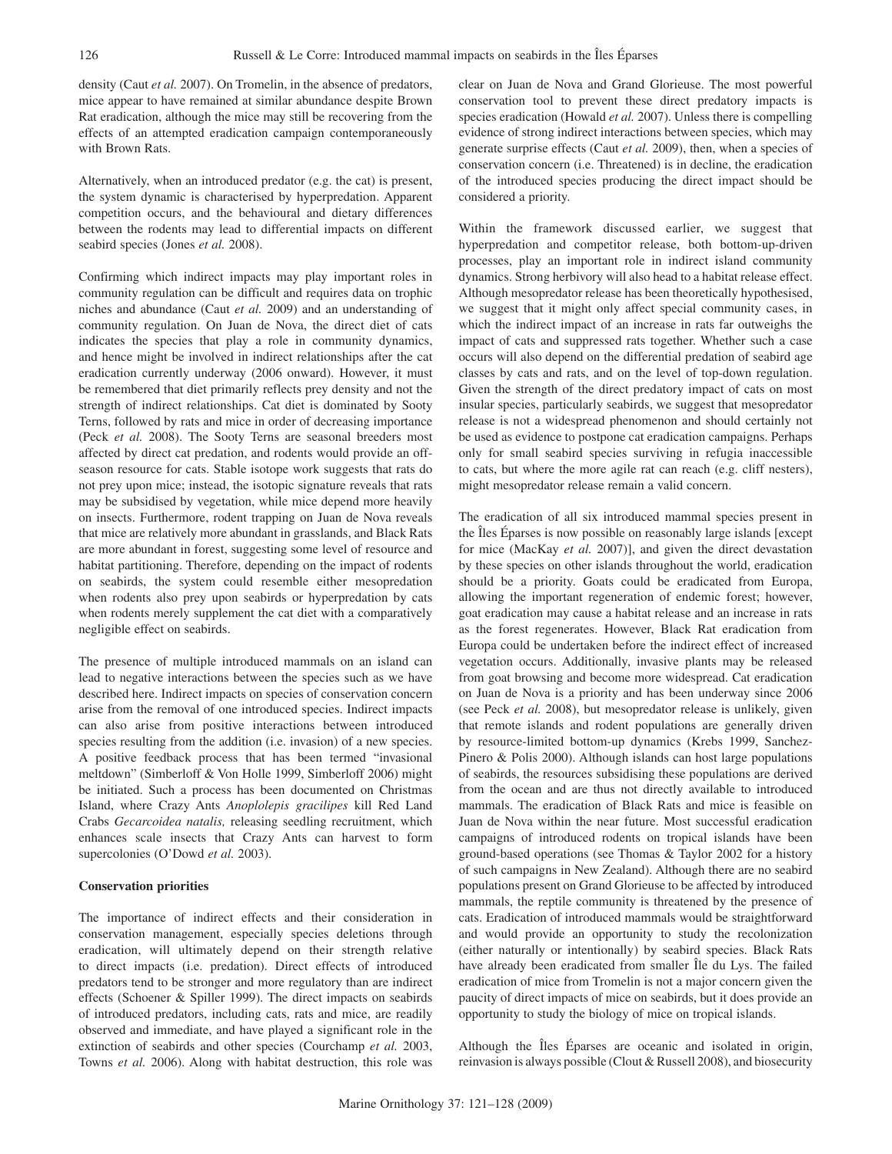density (Caut *et al.* 2007). On Tromelin, in the absence of predators, mice appear to have remained at similar abundance despite Brown Rat eradication, although the mice may still be recovering from the effects of an attempted eradication campaign contemporaneously with Brown Rats.

Alternatively, when an introduced predator (e.g. the cat) is present, the system dynamic is characterised by hyperpredation. Apparent competition occurs, and the behavioural and dietary differences between the rodents may lead to differential impacts on different seabird species (Jones *et al.* 2008).

Confirming which indirect impacts may play important roles in community regulation can be difficult and requires data on trophic niches and abundance (Caut *et al.* 2009) and an understanding of community regulation. On Juan de Nova, the direct diet of cats indicates the species that play a role in community dynamics, and hence might be involved in indirect relationships after the cat eradication currently underway (2006 onward). However, it must be remembered that diet primarily reflects prey density and not the strength of indirect relationships. Cat diet is dominated by Sooty Terns, followed by rats and mice in order of decreasing importance (Peck *et al.* 2008). The Sooty Terns are seasonal breeders most affected by direct cat predation, and rodents would provide an offseason resource for cats. Stable isotope work suggests that rats do not prey upon mice; instead, the isotopic signature reveals that rats may be subsidised by vegetation, while mice depend more heavily on insects. Furthermore, rodent trapping on Juan de Nova reveals that mice are relatively more abundant in grasslands, and Black Rats are more abundant in forest, suggesting some level of resource and habitat partitioning. Therefore, depending on the impact of rodents on seabirds, the system could resemble either mesopredation when rodents also prey upon seabirds or hyperpredation by cats when rodents merely supplement the cat diet with a comparatively negligible effect on seabirds.

The presence of multiple introduced mammals on an island can lead to negative interactions between the species such as we have described here. Indirect impacts on species of conservation concern arise from the removal of one introduced species. Indirect impacts can also arise from positive interactions between introduced species resulting from the addition (i.e. invasion) of a new species. A positive feedback process that has been termed "invasional meltdown" (Simberloff & Von Holle 1999, Simberloff 2006) might be initiated. Such a process has been documented on Christmas Island, where Crazy Ants *Anoplolepis gracilipes* kill Red Land Crabs *Gecarcoidea natalis,* releasing seedling recruitment, which enhances scale insects that Crazy Ants can harvest to form supercolonies (O'Dowd *et al.* 2003).

#### **Conservation priorities**

The importance of indirect effects and their consideration in conservation management, especially species deletions through eradication, will ultimately depend on their strength relative to direct impacts (i.e. predation). Direct effects of introduced predators tend to be stronger and more regulatory than are indirect effects (Schoener & Spiller 1999). The direct impacts on seabirds of introduced predators, including cats, rats and mice, are readily observed and immediate, and have played a significant role in the extinction of seabirds and other species (Courchamp *et al.* 2003, Towns *et al.* 2006). Along with habitat destruction, this role was clear on Juan de Nova and Grand Glorieuse. The most powerful conservation tool to prevent these direct predatory impacts is species eradication (Howald *et al.* 2007). Unless there is compelling evidence of strong indirect interactions between species, which may generate surprise effects (Caut *et al.* 2009), then, when a species of conservation concern (i.e. Threatened) is in decline, the eradication of the introduced species producing the direct impact should be considered a priority.

Within the framework discussed earlier, we suggest that hyperpredation and competitor release, both bottom-up-driven processes, play an important role in indirect island community dynamics. Strong herbivory will also head to a habitat release effect. Although mesopredator release has been theoretically hypothesised, we suggest that it might only affect special community cases, in which the indirect impact of an increase in rats far outweighs the impact of cats and suppressed rats together. Whether such a case occurs will also depend on the differential predation of seabird age classes by cats and rats, and on the level of top-down regulation. Given the strength of the direct predatory impact of cats on most insular species, particularly seabirds, we suggest that mesopredator release is not a widespread phenomenon and should certainly not be used as evidence to postpone cat eradication campaigns. Perhaps only for small seabird species surviving in refugia inaccessible to cats, but where the more agile rat can reach (e.g. cliff nesters), might mesopredator release remain a valid concern.

The eradication of all six introduced mammal species present in the Îles Éparses is now possible on reasonably large islands [except for mice (MacKay *et al.* 2007)], and given the direct devastation by these species on other islands throughout the world, eradication should be a priority. Goats could be eradicated from Europa, allowing the important regeneration of endemic forest; however, goat eradication may cause a habitat release and an increase in rats as the forest regenerates. However, Black Rat eradication from Europa could be undertaken before the indirect effect of increased vegetation occurs. Additionally, invasive plants may be released from goat browsing and become more widespread. Cat eradication on Juan de Nova is a priority and has been underway since 2006 (see Peck *et al.* 2008), but mesopredator release is unlikely, given that remote islands and rodent populations are generally driven by resource-limited bottom-up dynamics (Krebs 1999, Sanchez-Pinero & Polis 2000). Although islands can host large populations of seabirds, the resources subsidising these populations are derived from the ocean and are thus not directly available to introduced mammals. The eradication of Black Rats and mice is feasible on Juan de Nova within the near future. Most successful eradication campaigns of introduced rodents on tropical islands have been ground-based operations (see Thomas & Taylor 2002 for a history of such campaigns in New Zealand). Although there are no seabird populations present on Grand Glorieuse to be affected by introduced mammals, the reptile community is threatened by the presence of cats. Eradication of introduced mammals would be straightforward and would provide an opportunity to study the recolonization (either naturally or intentionally) by seabird species. Black Rats have already been eradicated from smaller Île du Lys. The failed eradication of mice from Tromelin is not a major concern given the paucity of direct impacts of mice on seabirds, but it does provide an opportunity to study the biology of mice on tropical islands.

Although the Îles Éparses are oceanic and isolated in origin, reinvasion is always possible (Clout & Russell 2008), and biosecurity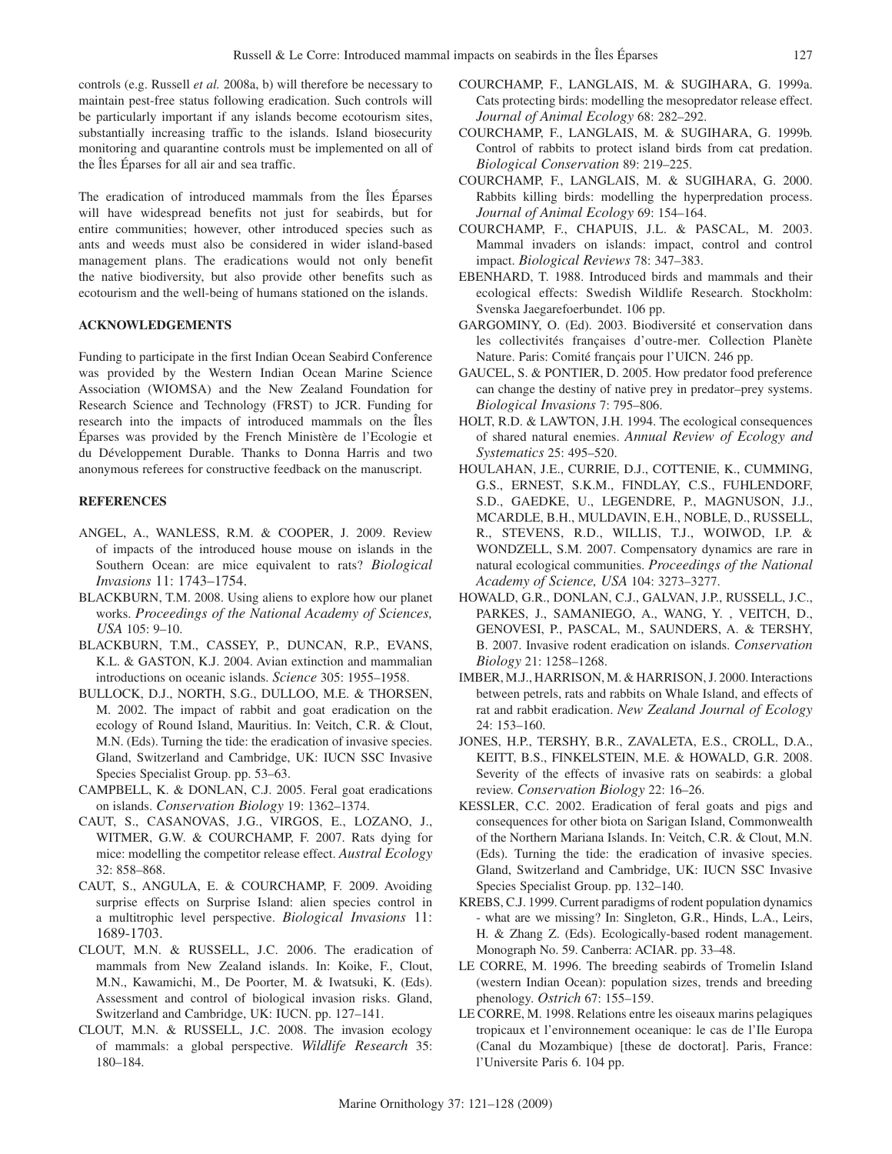controls (e.g. Russell *et al.* 2008a, b) will therefore be necessary to maintain pest-free status following eradication. Such controls will be particularly important if any islands become ecotourism sites, substantially increasing traffic to the islands. Island biosecurity monitoring and quarantine controls must be implemented on all of the Îles Éparses for all air and sea traffic.

The eradication of introduced mammals from the Îles Éparses will have widespread benefits not just for seabirds, but for entire communities; however, other introduced species such as ants and weeds must also be considered in wider island-based management plans. The eradications would not only benefit the native biodiversity, but also provide other benefits such as ecotourism and the well-being of humans stationed on the islands.

# **Acknowledgements**

Funding to participate in the first Indian Ocean Seabird Conference was provided by the Western Indian Ocean Marine Science Association (WIOMSA) and the New Zealand Foundation for Research Science and Technology (FRST) to JCR. Funding for research into the impacts of introduced mammals on the Îles Éparses was provided by the French Ministère de l'Ecologie et du Développement Durable. Thanks to Donna Harris and two anonymous referees for constructive feedback on the manuscript.

#### **REFERENCES**

- ANGEL, A., WANLESS, R.M. & COOPER, J. 2009. Review of impacts of the introduced house mouse on islands in the Southern Ocean: are mice equivalent to rats? *Biological Invasions* 11: 1743–1754.
- BLACKBURN, T.M. 2008. Using aliens to explore how our planet works. *Proceedings of the National Academy of Sciences, USA* 105: 9–10.
- BLACKBURN, T.M., CASSEY, P., DUNCAN, R.P., EVANS, K.L. & GASTON, K.J. 2004. Avian extinction and mammalian introductions on oceanic islands. *Science* 305: 1955–1958.
- BULLOCK, D.J., NORTH, S.G., DULLOO, M.E. & THORSEN, M. 2002. The impact of rabbit and goat eradication on the ecology of Round Island, Mauritius. In: Veitch, C.R. & Clout, M.N. (Eds). Turning the tide: the eradication of invasive species. Gland, Switzerland and Cambridge, UK: IUCN SSC Invasive Species Specialist Group. pp. 53–63.
- CAMPBELL, K. & DONLAN, C.J. 2005. Feral goat eradications on islands. *Conservation Biology* 19: 1362–1374.
- CAUT, S., CASANOVAS, J.G., VIRGOS, E., LOZANO, J., WITMER, G.W. & COURCHAMP, F. 2007. Rats dying for mice: modelling the competitor release effect. *Austral Ecology* 32: 858–868.
- CAUT, S., ANGULA, E. & COURCHAMP, F. 2009. Avoiding surprise effects on Surprise Island: alien species control in a multitrophic level perspective. *Biological Invasions* 11: 1689-1703.
- CLOUT, M.N. & RUSSELL, J.C. 2006. The eradication of mammals from New Zealand islands. In: Koike, F., Clout, M.N., Kawamichi, M., De Poorter, M. & Iwatsuki, K. (Eds). Assessment and control of biological invasion risks. Gland, Switzerland and Cambridge, UK: IUCN. pp. 127–141.
- CLOUT, M.N. & RUSSELL, J.C. 2008. The invasion ecology of mammals: a global perspective. *Wildlife Research* 35: 180–184.
- COURCHAMP, F., LANGLAIS, M. & SUGIHARA, G. 1999a. Cats protecting birds: modelling the mesopredator release effect. *Journal of Animal Ecology* 68: 282–292.
- COURCHAMP, F., LANGLAIS, M. & SUGIHARA, G. 1999b. Control of rabbits to protect island birds from cat predation. *Biological Conservation* 89: 219–225.
- COURCHAMP, F., LANGLAIS, M. & SUGIHARA, G. 2000. Rabbits killing birds: modelling the hyperpredation process. *Journal of Animal Ecology* 69: 154–164.
- COURCHAMP, F., CHAPUIS, J.L. & PASCAL, M. 2003. Mammal invaders on islands: impact, control and control impact. *Biological Reviews* 78: 347–383.
- EBENHARD, T. 1988. Introduced birds and mammals and their ecological effects: Swedish Wildlife Research. Stockholm: Svenska Jaegarefoerbundet. 106 pp.
- GARGOMINY, O. (Ed). 2003. Biodiversité et conservation dans les collectivités françaises d'outre-mer. Collection Planète Nature. Paris: Comité français pour l'UICN. 246 pp.
- GAUCEL, S. & PONTIER, D. 2005. How predator food preference can change the destiny of native prey in predator–prey systems. *Biological Invasions* 7: 795–806.
- HOLT, R.D. & LAWTON, J.H. 1994. The ecological consequences of shared natural enemies. *Annual Review of Ecology and Systematics* 25: 495–520.
- HOULAHAN, J.E., CURRIE, D.J., COTTENIE, K., CUMMING, G.S., ERNEST, S.K.M., FINDLAY, C.S., FUHLENDORF, S.D., GAEDKE, U., LEGENDRE, P., MAGNUSON, J.J., MCARDLE, B.H., MULDAVIN, E.H., NOBLE, D., RUSSELL, R., STEVENS, R.D., WILLIS, T.J., WOIWOD, I.P. & WONDZELL, S.M. 2007. Compensatory dynamics are rare in natural ecological communities. *Proceedings of the National Academy of Science, USA* 104: 3273–3277.
- HOWALD, G.R., DONLAN, C.J., GALVAN, J.P., RUSSELL, J.C., PARKES, J., SAMANIEGO, A., WANG, Y. , VEITCH, D., GENOVESI, P., PASCAL, M., SAUNDERS, A. & TERSHY, B. 2007. Invasive rodent eradication on islands. *Conservation Biology* 21: 1258–1268.
- IMBER, M.J., HARRISON, M. & HARRISON, J. 2000. Interactions between petrels, rats and rabbits on Whale Island, and effects of rat and rabbit eradication. *New Zealand Journal of Ecology* 24: 153–160.
- JONES, H.P., TERSHY, B.R., ZAVALETA, E.S., CROLL, D.A., KEITT, B.S., FINKELSTEIN, M.E. & HOWALD, G.R. 2008. Severity of the effects of invasive rats on seabirds: a global review. *Conservation Biology* 22: 16–26.
- KESSLER, C.C. 2002. Eradication of feral goats and pigs and consequences for other biota on Sarigan Island, Commonwealth of the Northern Mariana Islands. In: Veitch, C.R. & Clout, M.N. (Eds). Turning the tide: the eradication of invasive species. Gland, Switzerland and Cambridge, UK: IUCN SSC Invasive Species Specialist Group. pp. 132–140.
- KREBS, C.J. 1999. Current paradigms of rodent population dynamics - what are we missing? In: Singleton, G.R., Hinds, L.A., Leirs, H. & Zhang Z. (Eds). Ecologically-based rodent management. Monograph No. 59. Canberra: ACIAR. pp. 33–48.
- LE CORRE, M. 1996. The breeding seabirds of Tromelin Island (western Indian Ocean): population sizes, trends and breeding phenology. *Ostrich* 67: 155–159.
- LE CORRE, M. 1998. Relations entre les oiseaux marins pelagiques tropicaux et l'environnement oceanique: le cas de l'Ile Europa (Canal du Mozambique) [these de doctorat]. Paris, France: l'Universite Paris 6. 104 pp.